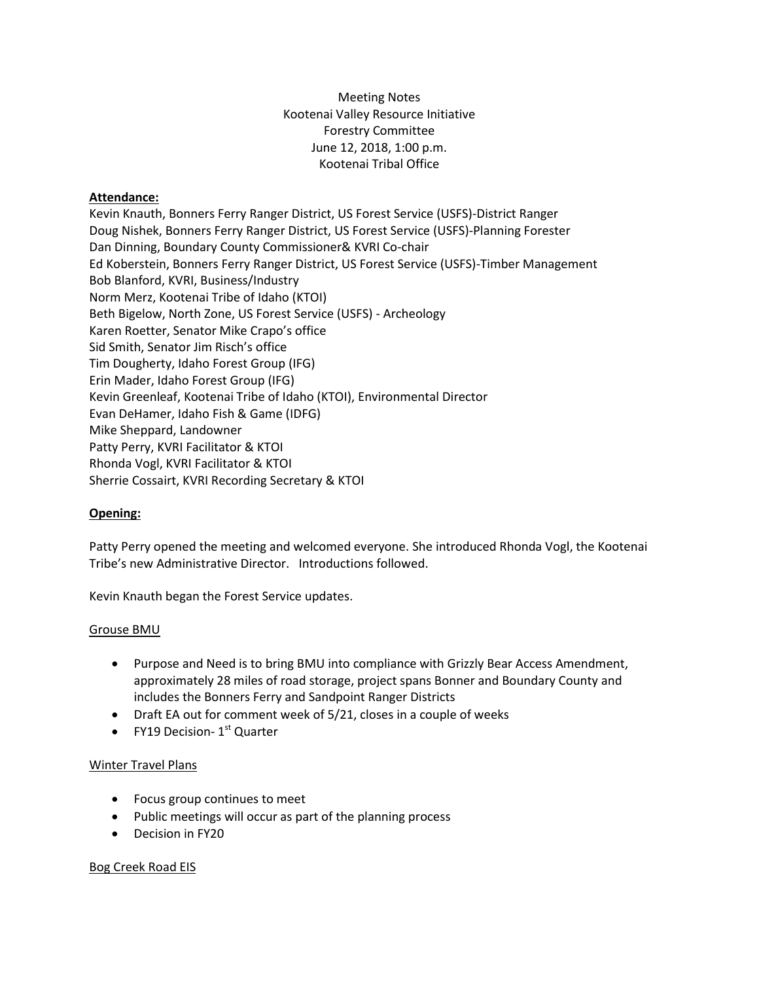Meeting Notes Kootenai Valley Resource Initiative Forestry Committee June 12, 2018, 1:00 p.m. Kootenai Tribal Office

## **Attendance:**

Kevin Knauth, Bonners Ferry Ranger District, US Forest Service (USFS)-District Ranger Doug Nishek, Bonners Ferry Ranger District, US Forest Service (USFS)-Planning Forester Dan Dinning, Boundary County Commissioner& KVRI Co-chair Ed Koberstein, Bonners Ferry Ranger District, US Forest Service (USFS)-Timber Management Bob Blanford, KVRI, Business/Industry Norm Merz, Kootenai Tribe of Idaho (KTOI) Beth Bigelow, North Zone, US Forest Service (USFS) - Archeology Karen Roetter, Senator Mike Crapo's office Sid Smith, Senator Jim Risch's office Tim Dougherty, Idaho Forest Group (IFG) Erin Mader, Idaho Forest Group (IFG) Kevin Greenleaf, Kootenai Tribe of Idaho (KTOI), Environmental Director Evan DeHamer, Idaho Fish & Game (IDFG) Mike Sheppard, Landowner Patty Perry, KVRI Facilitator & KTOI Rhonda Vogl, KVRI Facilitator & KTOI Sherrie Cossairt, KVRI Recording Secretary & KTOI

### **Opening:**

Patty Perry opened the meeting and welcomed everyone. She introduced Rhonda Vogl, the Kootenai Tribe's new Administrative Director. Introductions followed.

Kevin Knauth began the Forest Service updates.

#### Grouse BMU

- Purpose and Need is to bring BMU into compliance with Grizzly Bear Access Amendment, approximately 28 miles of road storage, project spans Bonner and Boundary County and includes the Bonners Ferry and Sandpoint Ranger Districts
- Draft EA out for comment week of 5/21, closes in a couple of weeks
- FY19 Decision-  $1<sup>st</sup>$  Quarter

#### Winter Travel Plans

- Focus group continues to meet
- Public meetings will occur as part of the planning process
- Decision in FY20

### Bog Creek Road EIS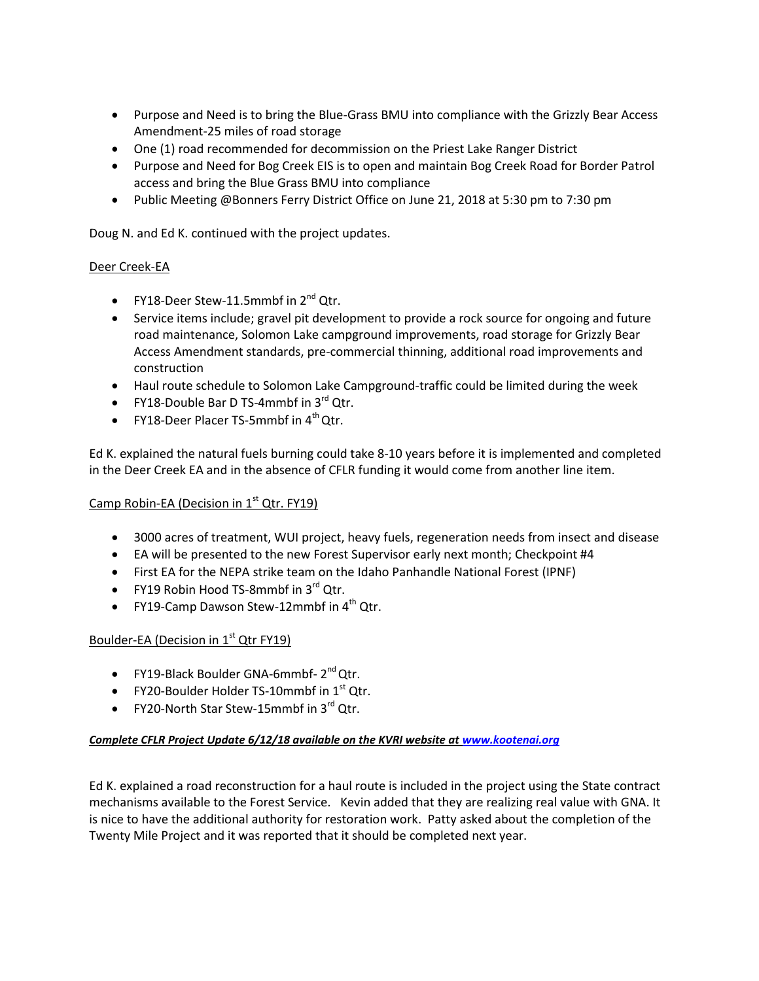- Purpose and Need is to bring the Blue-Grass BMU into compliance with the Grizzly Bear Access Amendment-25 miles of road storage
- One (1) road recommended for decommission on the Priest Lake Ranger District
- Purpose and Need for Bog Creek EIS is to open and maintain Bog Creek Road for Border Patrol access and bring the Blue Grass BMU into compliance
- Public Meeting @Bonners Ferry District Office on June 21, 2018 at 5:30 pm to 7:30 pm

Doug N. and Ed K. continued with the project updates.

# Deer Creek-EA

- FY18-Deer Stew-11.5mmbf in  $2^{nd}$  Qtr.
- Service items include; gravel pit development to provide a rock source for ongoing and future road maintenance, Solomon Lake campground improvements, road storage for Grizzly Bear Access Amendment standards, pre-commercial thinning, additional road improvements and construction
- Haul route schedule to Solomon Lake Campground-traffic could be limited during the week
- FY18-Double Bar D TS-4mmbf in  $3^{rd}$  Qtr.
- FY18-Deer Placer TS-5mmbf in  $4^{th}$  Qtr.

Ed K. explained the natural fuels burning could take 8-10 years before it is implemented and completed in the Deer Creek EA and in the absence of CFLR funding it would come from another line item.

# Camp Robin-EA (Decision in 1<sup>st</sup> Qtr. FY19)

- 3000 acres of treatment, WUI project, heavy fuels, regeneration needs from insect and disease
- EA will be presented to the new Forest Supervisor early next month; Checkpoint #4
- First EA for the NEPA strike team on the Idaho Panhandle National Forest (IPNF)
- FY19 Robin Hood TS-8mmbf in  $3^{rd}$  Qtr.
- FY19-Camp Dawson Stew-12mmbf in  $4^{th}$  Qtr.

# Boulder-EA (Decision in  $1<sup>st</sup>$  Qtr FY19)

- FY19-Black Boulder GNA-6mmbf-2<sup>nd</sup> Qtr.
- $\bullet$  FY20-Boulder Holder TS-10mmbf in 1<sup>st</sup> Qtr.
- FY20-North Star Stew-15mmbf in  $3^{rd}$  Qtr.

### *Complete CFLR Project Update 6/12/18 available on the KVRI website at [www.kootenai.org](http://www.kootenai.org/)*

Ed K. explained a road reconstruction for a haul route is included in the project using the State contract mechanisms available to the Forest Service. Kevin added that they are realizing real value with GNA. It is nice to have the additional authority for restoration work. Patty asked about the completion of the Twenty Mile Project and it was reported that it should be completed next year.